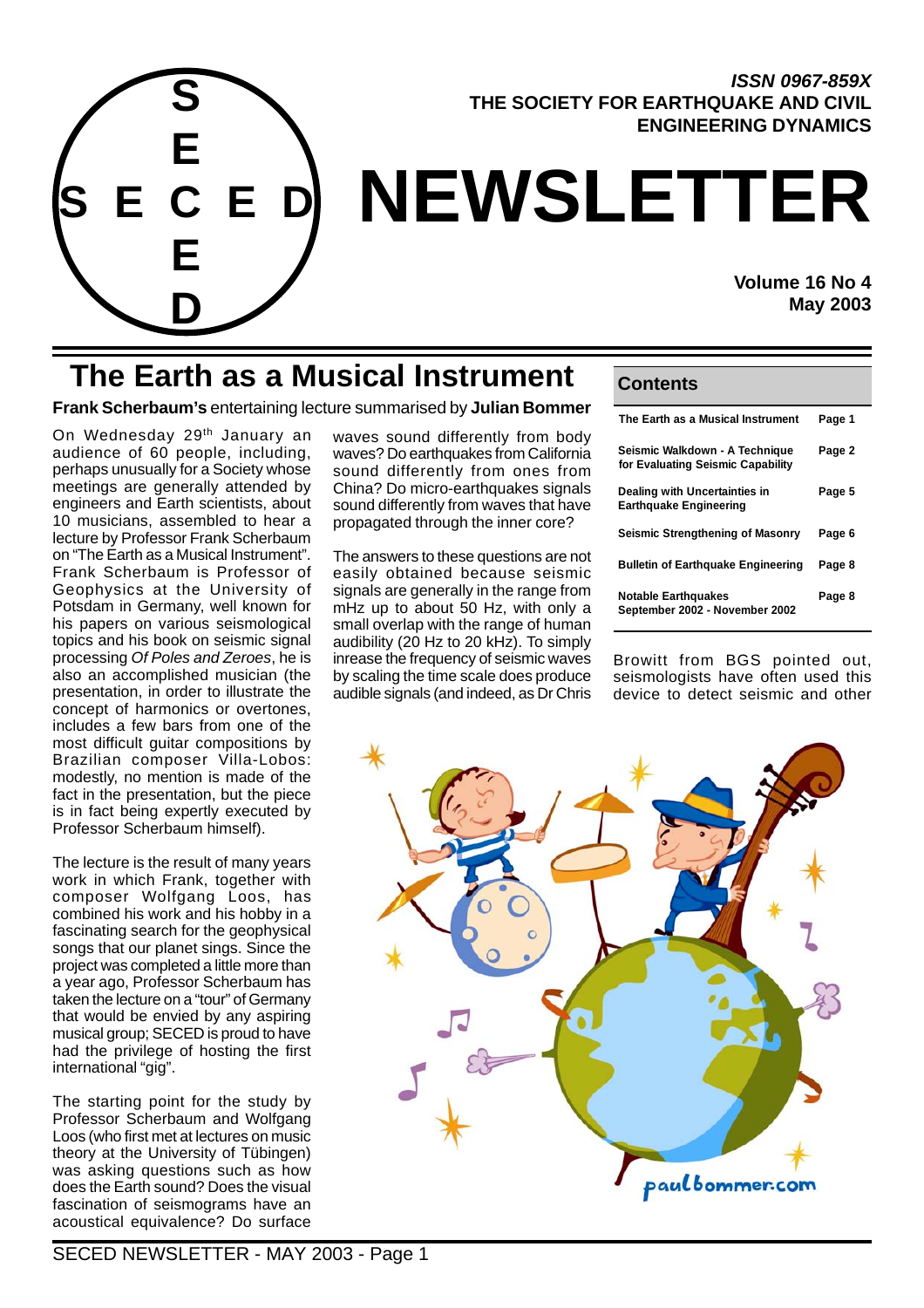

### **ISSN 0967-859X THE SOCIETY FOR EARTHQUAKE AND CIVIL ENGINEERING DYNAMICS**

# **NEWSLETTER**

**Volume 16 No 4 May 2003**

## **The Earth as a Musical Instrument Contents**

**Frank Scherbaum's** entertaining lecture summarised by **Julian Bommer**

On Wednesday 29<sup>th</sup> January an audience of 60 people, including, perhaps unusually for a Society whose meetings are generally attended by engineers and Earth scientists, about 10 musicians, assembled to hear a lecture by Professor Frank Scherbaum on "The Earth as a Musical Instrument". Frank Scherbaum is Professor of Geophysics at the University of Potsdam in Germany, well known for his papers on various seismological topics and his book on seismic signal processing Of Poles and Zeroes, he is also an accomplished musician (the presentation, in order to illustrate the concept of harmonics or overtones, includes a few bars from one of the most difficult guitar compositions by Brazilian composer Villa-Lobos: modestly, no mention is made of the fact in the presentation, but the piece is in fact being expertly executed by Professor Scherbaum himself).

The lecture is the result of many years work in which Frank, together with composer Wolfgang Loos, has combined his work and his hobby in a fascinating search for the geophysical songs that our planet sings. Since the project was completed a little more than a year ago, Professor Scherbaum has taken the lecture on a "tour" of Germany that would be envied by any aspiring musical group; SECED is proud to have had the privilege of hosting the first international "gig".

The starting point for the study by Professor Scherbaum and Wolfgang Loos (who first met at lectures on music theory at the University of Tübingen) was asking questions such as how does the Earth sound? Does the visual fascination of seismograms have an acoustical equivalence? Do surface

waves sound differently from body waves? Do earthquakes from California sound differently from ones from China? Do micro-earthquakes signals sound differently from waves that have propagated through the inner core?

The answers to these questions are not easily obtained because seismic signals are generally in the range from mHz up to about 50 Hz, with only a small overlap with the range of human audibility (20 Hz to 20 kHz). To simply inrease the frequency of seismic waves by scaling the time scale does produce audible signals (and indeed, as Dr Chris

| The Earth as a Musical Instrument                                   | Page 1 |
|---------------------------------------------------------------------|--------|
| Seismic Walkdown - A Technique<br>for Evaluating Seismic Capability | Page 2 |
| Dealing with Uncertainties in<br><b>Earthquake Engineering</b>      | Page 5 |
| Seismic Strengthening of Masonry                                    | Page 6 |
| <b>Bulletin of Earthquake Engineering</b>                           | Page 8 |
| <b>Notable Earthquakes</b><br>September 2002 - November 2002        | Page 8 |

Browitt from BGS pointed out, seismologists have often used this device to detect seismic and other

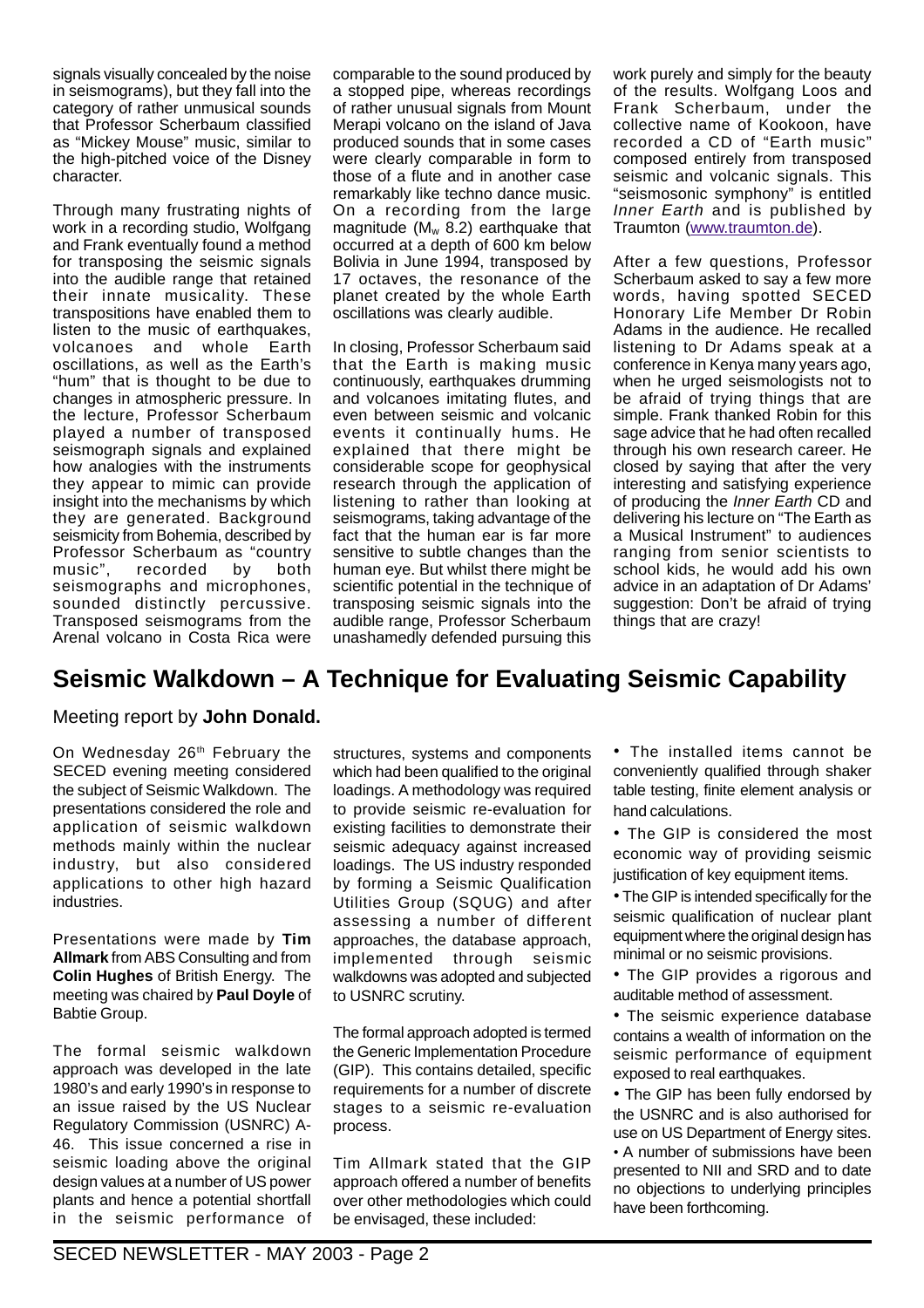signals visually concealed by the noise in seismograms), but they fall into the category of rather unmusical sounds that Professor Scherbaum classified as "Mickey Mouse" music, similar to the high-pitched voice of the Disney character.

Through many frustrating nights of work in a recording studio, Wolfgang and Frank eventually found a method for transposing the seismic signals into the audible range that retained their innate musicality. These transpositions have enabled them to listen to the music of earthquakes, volcanoes and whole Earth oscillations, as well as the Earth's "hum" that is thought to be due to changes in atmospheric pressure. In the lecture, Professor Scherbaum played a number of transposed seismograph signals and explained how analogies with the instruments they appear to mimic can provide insight into the mechanisms by which they are generated. Background seismicity from Bohemia, described by Professor Scherbaum as "country music", recorded by both seismographs and microphones, sounded distinctly percussive. Transposed seismograms from the Arenal volcano in Costa Rica were

comparable to the sound produced by a stopped pipe, whereas recordings of rather unusual signals from Mount Merapi volcano on the island of Java produced sounds that in some cases were clearly comparable in form to those of a flute and in another case remarkably like techno dance music. On a recording from the large magnitude ( $M_w$  8.2) earthquake that occurred at a depth of 600 km below Bolivia in June 1994, transposed by 17 octaves, the resonance of the planet created by the whole Earth oscillations was clearly audible.

In closing, Professor Scherbaum said that the Earth is making music continuously, earthquakes drumming and volcanoes imitating flutes, and even between seismic and volcanic events it continually hums. He explained that there might be considerable scope for geophysical research through the application of listening to rather than looking at seismograms, taking advantage of the fact that the human ear is far more sensitive to subtle changes than the human eye. But whilst there might be scientific potential in the technique of transposing seismic signals into the audible range, Professor Scherbaum unashamedly defended pursuing this

work purely and simply for the beauty of the results. Wolfgang Loos and Frank Scherbaum, under the collective name of Kookoon, have recorded a CD of "Earth music" composed entirely from transposed seismic and volcanic signals. This "seismosonic symphony" is entitled Inner Earth and is published by Traumton (www.traumton.de).

After a few questions, Professor Scherbaum asked to say a few more words, having spotted SECED Honorary Life Member Dr Robin Adams in the audience. He recalled listening to Dr Adams speak at a conference in Kenya many years ago, when he urged seismologists not to be afraid of trying things that are simple. Frank thanked Robin for this sage advice that he had often recalled through his own research career. He closed by saying that after the very interesting and satisfying experience of producing the *Inner Earth* CD and delivering his lecture on "The Earth as a Musical Instrument" to audiences ranging from senior scientists to school kids, he would add his own advice in an adaptation of Dr Adams' suggestion: Don't be afraid of trying things that are crazy!

## **Seismic Walkdown – A Technique for Evaluating Seismic Capability**

#### Meeting report by **John Donald.**

On Wednesday 26<sup>th</sup> February the SECED evening meeting considered the subject of Seismic Walkdown. The presentations considered the role and application of seismic walkdown methods mainly within the nuclear industry, but also considered applications to other high hazard industries.

Presentations were made by **Tim Allmark** from ABS Consulting and from **Colin Hughes** of British Energy. The meeting was chaired by **Paul Doyle** of Babtie Group.

The formal seismic walkdown approach was developed in the late 1980's and early 1990's in response to an issue raised by the US Nuclear Regulatory Commission (USNRC) A-46. This issue concerned a rise in seismic loading above the original design values at a number of US power plants and hence a potential shortfall in the seismic performance of

structures, systems and components which had been qualified to the original loadings. A methodology was required to provide seismic re-evaluation for existing facilities to demonstrate their seismic adequacy against increased loadings. The US industry responded by forming a Seismic Qualification Utilities Group (SQUG) and after assessing a number of different approaches, the database approach, implemented through seismic walkdowns was adopted and subjected to USNRC scrutiny.

The formal approach adopted is termed the Generic Implementation Procedure (GIP). This contains detailed, specific requirements for a number of discrete stages to a seismic re-evaluation process.

Tim Allmark stated that the GIP approach offered a number of benefits over other methodologies which could be envisaged, these included:

• The installed items cannot be conveniently qualified through shaker table testing, finite element analysis or hand calculations.

• The GIP is considered the most economic way of providing seismic justification of key equipment items.

• The GIP is intended specifically for the seismic qualification of nuclear plant equipment where the original design has minimal or no seismic provisions.

• The GIP provides a rigorous and auditable method of assessment.

• The seismic experience database contains a wealth of information on the seismic performance of equipment exposed to real earthquakes.

• The GIP has been fully endorsed by the USNRC and is also authorised for use on US Department of Energy sites. • A number of submissions have been presented to NII and SRD and to date no objections to underlying principles have been forthcoming.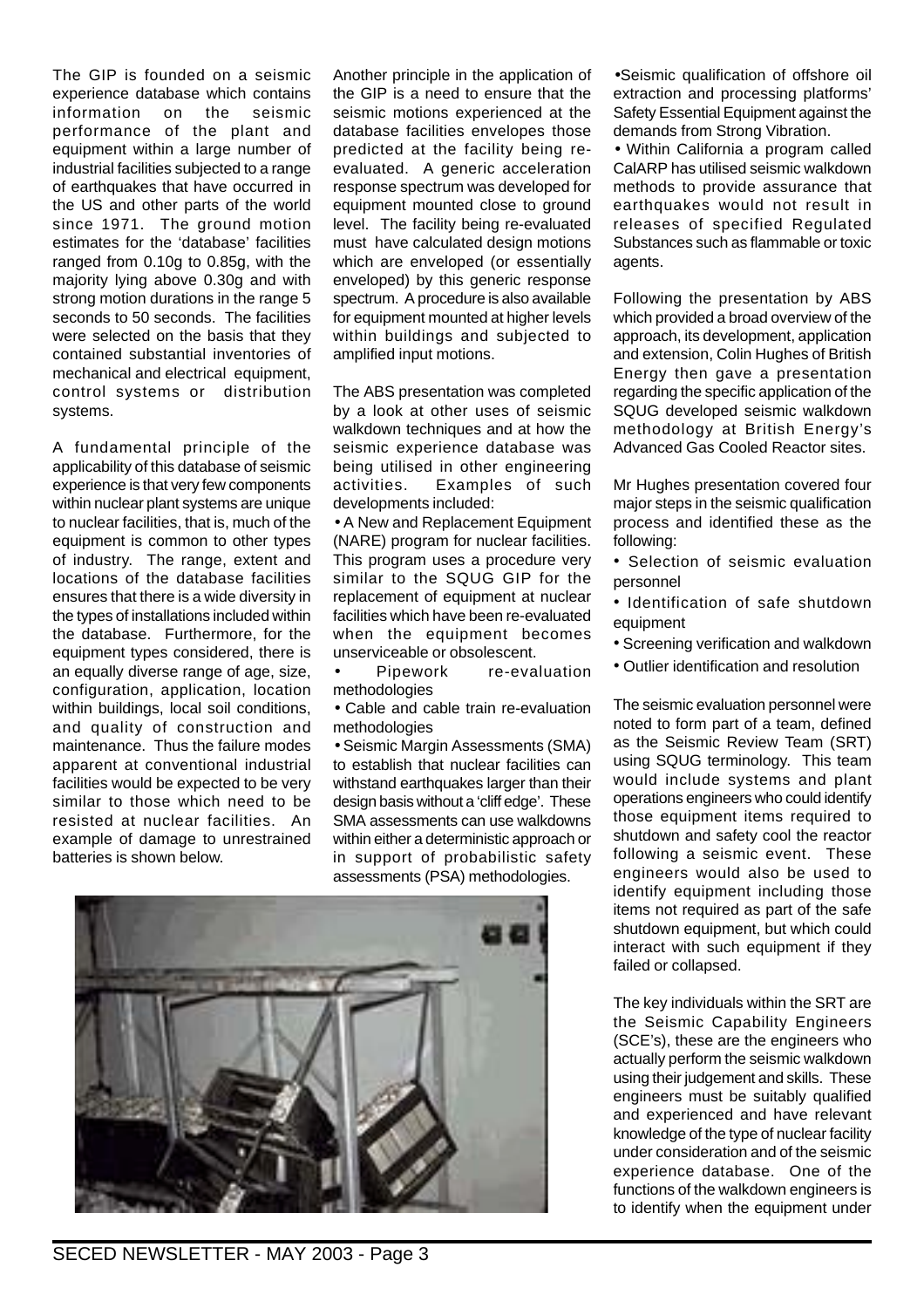The GIP is founded on a seismic experience database which contains information on the seismic performance of the plant and equipment within a large number of industrial facilities subjected to a range of earthquakes that have occurred in the US and other parts of the world since 1971. The ground motion estimates for the 'database' facilities ranged from 0.10g to 0.85g, with the majority lying above 0.30g and with strong motion durations in the range 5 seconds to 50 seconds. The facilities were selected on the basis that they contained substantial inventories of mechanical and electrical equipment, control systems or distribution systems.

A fundamental principle of the applicability of this database of seismic experience is that very few components within nuclear plant systems are unique to nuclear facilities, that is, much of the equipment is common to other types of industry. The range, extent and locations of the database facilities ensures that there is a wide diversity in the types of installations included within the database. Furthermore, for the equipment types considered, there is an equally diverse range of age, size, configuration, application, location within buildings, local soil conditions, and quality of construction and maintenance. Thus the failure modes apparent at conventional industrial facilities would be expected to be very similar to those which need to be resisted at nuclear facilities. An example of damage to unrestrained batteries is shown below.

Another principle in the application of the GIP is a need to ensure that the seismic motions experienced at the database facilities envelopes those predicted at the facility being reevaluated. A generic acceleration response spectrum was developed for equipment mounted close to ground level. The facility being re-evaluated must have calculated design motions which are enveloped (or essentially enveloped) by this generic response spectrum. A procedure is also available for equipment mounted at higher levels within buildings and subjected to amplified input motions.

The ABS presentation was completed by a look at other uses of seismic walkdown techniques and at how the seismic experience database was being utilised in other engineering activities. Examples of such developments included:

• A New and Replacement Equipment (NARE) program for nuclear facilities. This program uses a procedure very similar to the SQUG GIP for the replacement of equipment at nuclear facilities which have been re-evaluated when the equipment becomes unserviceable or obsolescent.

Pipework re-evaluation methodologies

• Cable and cable train re-evaluation methodologies

• Seismic Margin Assessments (SMA) to establish that nuclear facilities can withstand earthquakes larger than their design basis without a 'cliff edge'. These SMA assessments can use walkdowns within either a deterministic approach or in support of probabilistic safety assessments (PSA) methodologies.



•Seismic qualification of offshore oil extraction and processing platforms' Safety Essential Equipment against the demands from Strong Vibration.

• Within California a program called CalARP has utilised seismic walkdown methods to provide assurance that earthquakes would not result in releases of specified Regulated Substances such as flammable or toxic agents.

Following the presentation by ABS which provided a broad overview of the approach, its development, application and extension, Colin Hughes of British Energy then gave a presentation regarding the specific application of the SQUG developed seismic walkdown methodology at British Energy's Advanced Gas Cooled Reactor sites.

Mr Hughes presentation covered four major steps in the seismic qualification process and identified these as the following:

- Selection of seismic evaluation personnel
- Identification of safe shutdown equipment
- Screening verification and walkdown
- Outlier identification and resolution

The seismic evaluation personnel were noted to form part of a team, defined as the Seismic Review Team (SRT) using SQUG terminology. This team would include systems and plant operations engineers who could identify those equipment items required to shutdown and safety cool the reactor following a seismic event. These engineers would also be used to identify equipment including those items not required as part of the safe shutdown equipment, but which could interact with such equipment if they failed or collapsed.

The key individuals within the SRT are the Seismic Capability Engineers (SCE's), these are the engineers who actually perform the seismic walkdown using their judgement and skills. These engineers must be suitably qualified and experienced and have relevant knowledge of the type of nuclear facility under consideration and of the seismic experience database. One of the functions of the walkdown engineers is to identify when the equipment under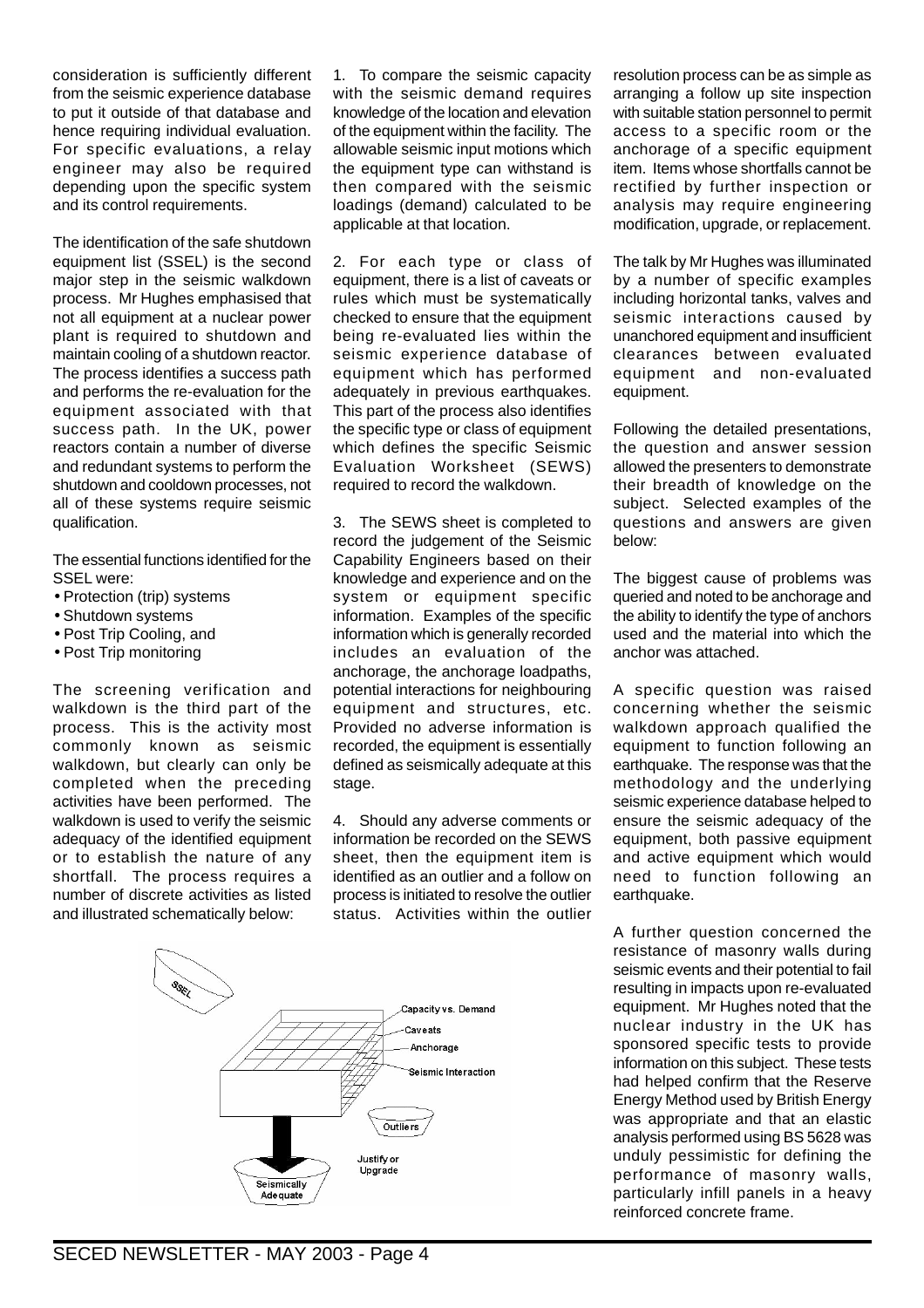consideration is sufficiently different from the seismic experience database to put it outside of that database and hence requiring individual evaluation. For specific evaluations, a relay engineer may also be required depending upon the specific system and its control requirements.

The identification of the safe shutdown equipment list (SSEL) is the second major step in the seismic walkdown process. Mr Hughes emphasised that not all equipment at a nuclear power plant is required to shutdown and maintain cooling of a shutdown reactor. The process identifies a success path and performs the re-evaluation for the equipment associated with that success path. In the UK, power reactors contain a number of diverse and redundant systems to perform the shutdown and cooldown processes, not all of these systems require seismic qualification.

The essential functions identified for the SSEL were:

- Protection (trip) systems
- Shutdown systems
- Post Trip Cooling, and
- Post Trip monitoring

The screening verification and walkdown is the third part of the process. This is the activity most commonly known as seismic walkdown, but clearly can only be completed when the preceding activities have been performed. The walkdown is used to verify the seismic adequacy of the identified equipment or to establish the nature of any shortfall. The process requires a number of discrete activities as listed and illustrated schematically below:

1. To compare the seismic capacity with the seismic demand requires knowledge of the location and elevation of the equipment within the facility. The allowable seismic input motions which the equipment type can withstand is then compared with the seismic loadings (demand) calculated to be applicable at that location.

2. For each type or class of equipment, there is a list of caveats or rules which must be systematically checked to ensure that the equipment being re-evaluated lies within the seismic experience database of equipment which has performed adequately in previous earthquakes. This part of the process also identifies the specific type or class of equipment which defines the specific Seismic Evaluation Worksheet (SEWS) required to record the walkdown.

3. The SEWS sheet is completed to record the judgement of the Seismic Capability Engineers based on their knowledge and experience and on the system or equipment specific information. Examples of the specific information which is generally recorded includes an evaluation of the anchorage, the anchorage loadpaths, potential interactions for neighbouring equipment and structures, etc. Provided no adverse information is recorded, the equipment is essentially defined as seismically adequate at this stage.

4. Should any adverse comments or information be recorded on the SEWS sheet, then the equipment item is identified as an outlier and a follow on process is initiated to resolve the outlier status. Activities within the outlier



resolution process can be as simple as arranging a follow up site inspection with suitable station personnel to permit access to a specific room or the anchorage of a specific equipment item. Items whose shortfalls cannot be rectified by further inspection or analysis may require engineering modification, upgrade, or replacement.

The talk by Mr Hughes was illuminated by a number of specific examples including horizontal tanks, valves and seismic interactions caused by unanchored equipment and insufficient clearances between evaluated equipment and non-evaluated equipment.

Following the detailed presentations, the question and answer session allowed the presenters to demonstrate their breadth of knowledge on the subject. Selected examples of the questions and answers are given below:

The biggest cause of problems was queried and noted to be anchorage and the ability to identify the type of anchors used and the material into which the anchor was attached.

A specific question was raised concerning whether the seismic walkdown approach qualified the equipment to function following an earthquake. The response was that the methodology and the underlying seismic experience database helped to ensure the seismic adequacy of the equipment, both passive equipment and active equipment which would need to function following an earthquake.

A further question concerned the resistance of masonry walls during seismic events and their potential to fail resulting in impacts upon re-evaluated equipment. Mr Hughes noted that the nuclear industry in the UK has sponsored specific tests to provide information on this subject. These tests had helped confirm that the Reserve Energy Method used by British Energy was appropriate and that an elastic analysis performed using BS 5628 was unduly pessimistic for defining the performance of masonry walls, particularly infill panels in a heavy reinforced concrete frame.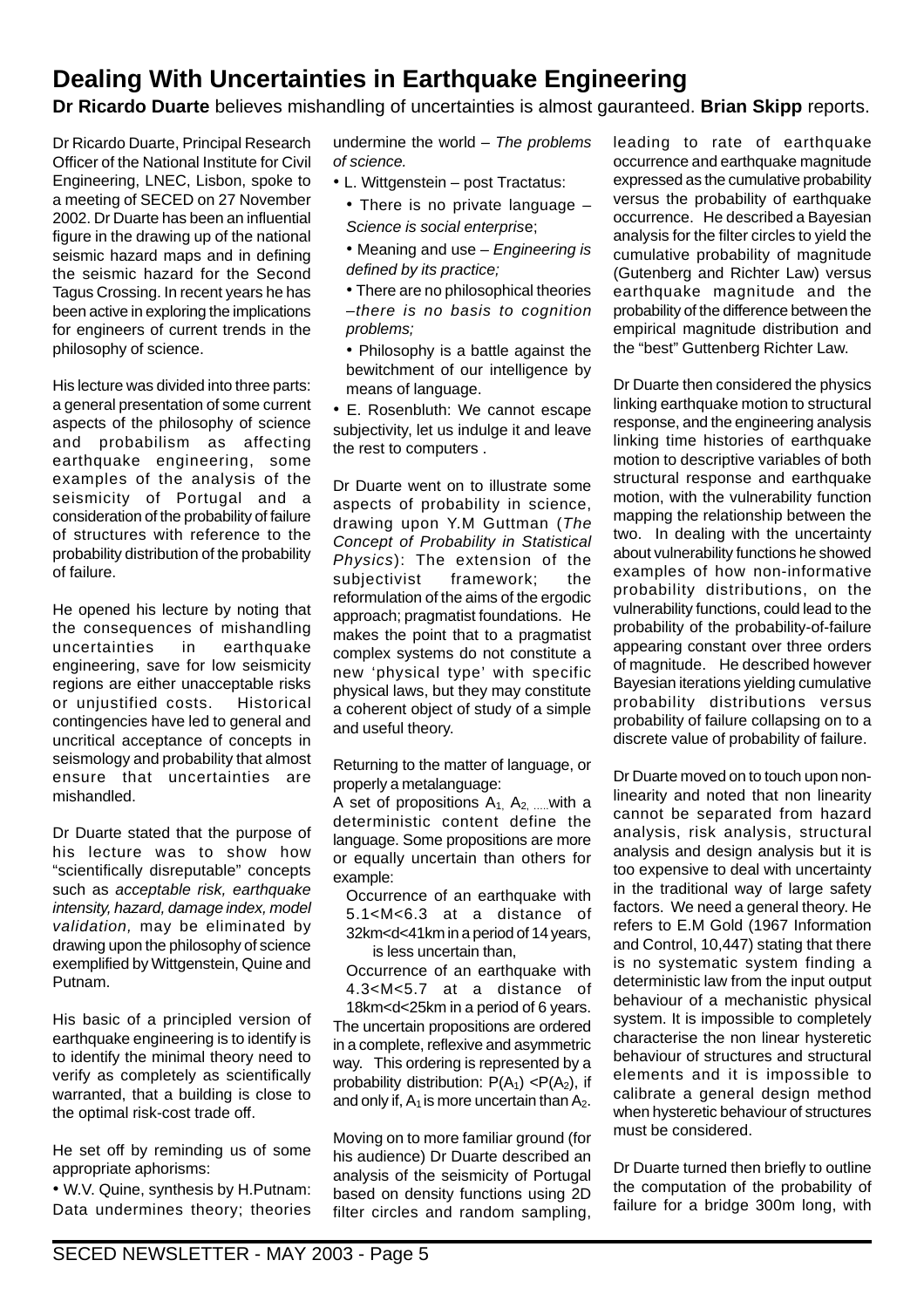## **Dealing With Uncertainties in Earthquake Engineering**

**Dr Ricardo Duarte** believes mishandling of uncertainties is almost gauranteed. **Brian Skipp** reports.

Dr Ricardo Duarte, Principal Research Officer of the National Institute for Civil Engineering, LNEC, Lisbon, spoke to a meeting of SECED on 27 November 2002. Dr Duarte has been an influential figure in the drawing up of the national seismic hazard maps and in defining the seismic hazard for the Second Tagus Crossing. In recent years he has been active in exploring the implications for engineers of current trends in the philosophy of science.

His lecture was divided into three parts: a general presentation of some current aspects of the philosophy of science and probabilism as affecting earthquake engineering, some examples of the analysis of the seismicity of Portugal and a consideration of the probability of failure of structures with reference to the probability distribution of the probability of failure.

He opened his lecture by noting that the consequences of mishandling uncertainties in earthquake engineering, save for low seismicity regions are either unacceptable risks or unjustified costs. Historical contingencies have led to general and uncritical acceptance of concepts in seismology and probability that almost ensure that uncertainties are mishandled.

Dr Duarte stated that the purpose of his lecture was to show how "scientifically disreputable" concepts such as acceptable risk, earthquake intensity, hazard, damage index, model validation, may be eliminated by drawing upon the philosophy of science exemplified by Wittgenstein, Quine and Putnam.

His basic of a principled version of earthquake engineering is to identify is to identify the minimal theory need to verify as completely as scientifically warranted, that a building is close to the optimal risk-cost trade off.

He set off by reminding us of some appropriate aphorisms:

• W.V. Quine, synthesis by H.Putnam: Data undermines theory; theories

undermine the world  $-$  The problems of science.

- L. Wittgenstein post Tractatus:
	- There is no private language Science is social enterprise;
	- Meaning and use Engineering is defined by its practice;
	- There are no philosophical theories –there is no basis to cognition problems;

• Philosophy is a battle against the bewitchment of our intelligence by means of language.

• E. Rosenbluth: We cannot escape subjectivity, let us indulge it and leave the rest to computers .

Dr Duarte went on to illustrate some aspects of probability in science, drawing upon Y.M Guttman (The Concept of Probability in Statistical Physics): The extension of the subjectivist framework; the reformulation of the aims of the ergodic approach; pragmatist foundations. He makes the point that to a pragmatist complex systems do not constitute a new 'physical type' with specific physical laws, but they may constitute a coherent object of study of a simple and useful theory.

Returning to the matter of language, or properly a metalanguage:

A set of propositions  $A_1$ ,  $A_2$ , with a deterministic content define the language. Some propositions are more or equally uncertain than others for example:

Occurrence of an earthquake with 5.1<M<6.3 at a distance of 32km<d<41km in a period of 14 years, is less uncertain than,

Occurrence of an earthquake with 4.3<M<5.7 at a distance of 18km<d<25km in a period of 6 years.

The uncertain propositions are ordered in a complete, reflexive and asymmetric way. This ordering is represented by a probability distribution:  $P(A_1) < P(A_2)$ , if and only if,  $A_1$  is more uncertain than  $A_2$ .

Moving on to more familiar ground (for his audience) Dr Duarte described an analysis of the seismicity of Portugal based on density functions using 2D filter circles and random sampling, leading to rate of earthquake occurrence and earthquake magnitude expressed as the cumulative probability versus the probability of earthquake occurrence. He described a Bayesian analysis for the filter circles to yield the cumulative probability of magnitude (Gutenberg and Richter Law) versus earthquake magnitude and the probability of the difference between the empirical magnitude distribution and the "best" Guttenberg Richter Law.

Dr Duarte then considered the physics linking earthquake motion to structural response, and the engineering analysis linking time histories of earthquake motion to descriptive variables of both structural response and earthquake motion, with the vulnerability function mapping the relationship between the two. In dealing with the uncertainty about vulnerability functions he showed examples of how non-informative probability distributions, on the vulnerability functions, could lead to the probability of the probability-of-failure appearing constant over three orders of magnitude. He described however Bayesian iterations yielding cumulative probability distributions versus probability of failure collapsing on to a discrete value of probability of failure.

Dr Duarte moved on to touch upon nonlinearity and noted that non linearity cannot be separated from hazard analysis, risk analysis, structural analysis and design analysis but it is too expensive to deal with uncertainty in the traditional way of large safety factors. We need a general theory. He refers to E.M Gold (1967 Information and Control, 10,447) stating that there is no systematic system finding a deterministic law from the input output behaviour of a mechanistic physical system. It is impossible to completely characterise the non linear hysteretic behaviour of structures and structural elements and it is impossible to calibrate a general design method when hysteretic behaviour of structures must be considered.

Dr Duarte turned then briefly to outline the computation of the probability of failure for a bridge 300m long, with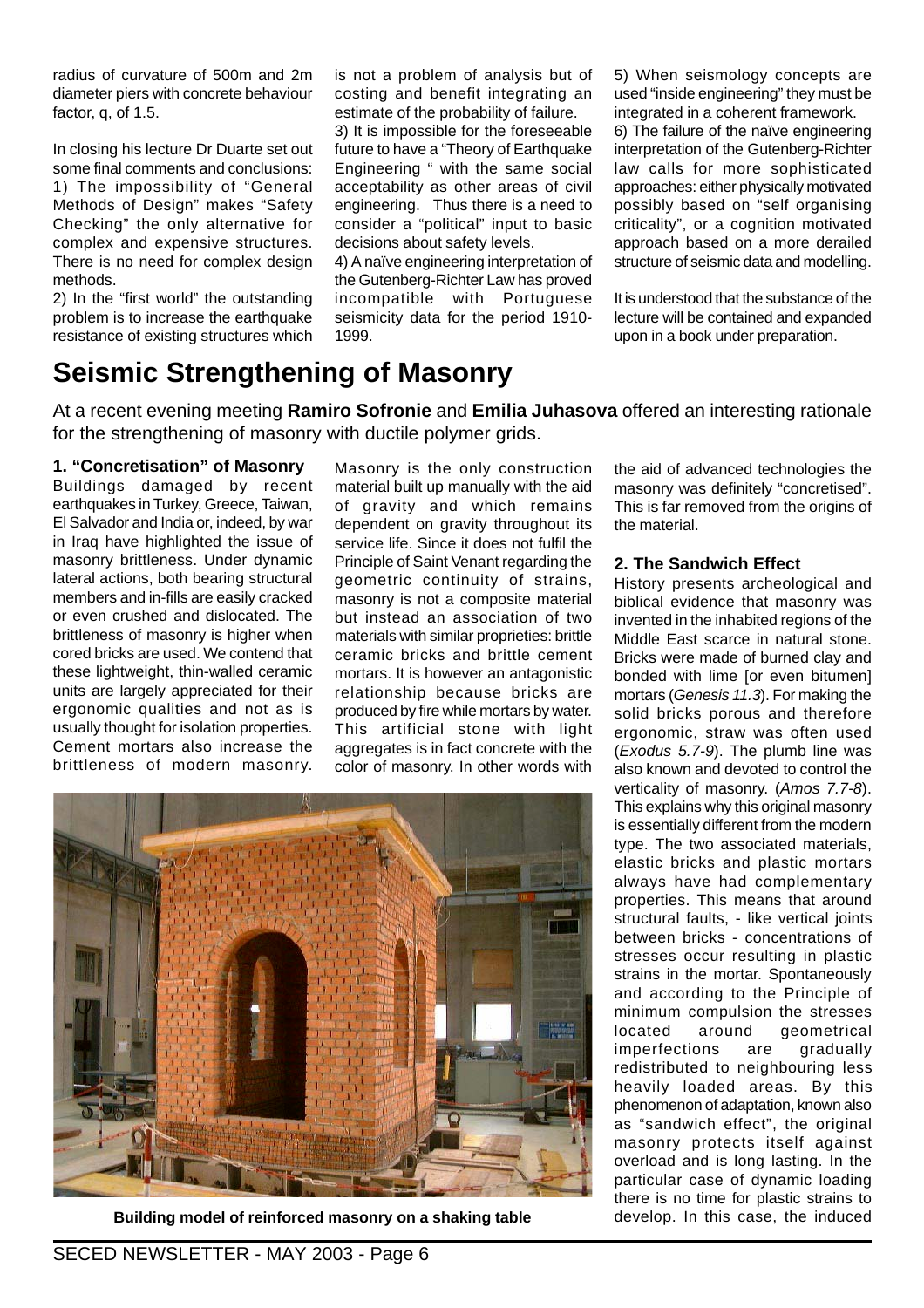radius of curvature of 500m and 2m diameter piers with concrete behaviour factor, q, of 1.5.

In closing his lecture Dr Duarte set out some final comments and conclusions: 1) The impossibility of "General Methods of Design" makes "Safety Checking" the only alternative for complex and expensive structures. There is no need for complex design methods.

2) In the "first world" the outstanding problem is to increase the earthquake resistance of existing structures which is not a problem of analysis but of costing and benefit integrating an estimate of the probability of failure.

3) It is impossible for the foreseeable future to have a "Theory of Earthquake Engineering " with the same social acceptability as other areas of civil engineering. Thus there is a need to consider a "political" input to basic decisions about safety levels.

4) A naïve engineering interpretation of the Gutenberg-Richter Law has proved incompatible with Portuguese seismicity data for the period 1910- 1999.

5) When seismology concepts are used "inside engineering" they must be integrated in a coherent framework.

6) The failure of the naïve engineering interpretation of the Gutenberg-Richter law calls for more sophisticated approaches: either physically motivated possibly based on "self organising criticality", or a cognition motivated approach based on a more derailed structure of seismic data and modelling.

It is understood that the substance of the lecture will be contained and expanded upon in a book under preparation.

## **Seismic Strengthening of Masonry**

At a recent evening meeting **Ramiro Sofronie** and **Emilia Juhasova** offered an interesting rationale for the strengthening of masonry with ductile polymer grids.

**1. "Concretisation" of Masonry** Buildings damaged by recent earthquakes in Turkey, Greece, Taiwan, El Salvador and India or, indeed, by war in Iraq have highlighted the issue of masonry brittleness. Under dynamic lateral actions, both bearing structural members and in-fills are easily cracked or even crushed and dislocated. The brittleness of masonry is higher when cored bricks are used. We contend that these lightweight, thin-walled ceramic units are largely appreciated for their ergonomic qualities and not as is usually thought for isolation properties. Cement mortars also increase the brittleness of modern masonry.

Masonry is the only construction material built up manually with the aid of gravity and which remains dependent on gravity throughout its service life. Since it does not fulfil the Principle of Saint Venant regarding the geometric continuity of strains, masonry is not a composite material but instead an association of two materials with similar proprieties: brittle ceramic bricks and brittle cement mortars. It is however an antagonistic relationship because bricks are produced by fire while mortars by water. This artificial stone with light aggregates is in fact concrete with the color of masonry. In other words with



**Building model of reinforced masonry on a shaking table**

the aid of advanced technologies the masonry was definitely "concretised". This is far removed from the origins of the material.

#### **2. The Sandwich Effect**

History presents archeological and biblical evidence that masonry was invented in the inhabited regions of the Middle East scarce in natural stone. Bricks were made of burned clay and bonded with lime [or even bitumen] mortars (Genesis 11.3). For making the solid bricks porous and therefore ergonomic, straw was often used (Exodus 5.7-9). The plumb line was also known and devoted to control the verticality of masonry. (Amos 7.7-8). This explains why this original masonry is essentially different from the modern type. The two associated materials, elastic bricks and plastic mortars always have had complementary properties. This means that around structural faults, - like vertical joints between bricks - concentrations of stresses occur resulting in plastic strains in the mortar. Spontaneously and according to the Principle of minimum compulsion the stresses located around geometrical imperfections are gradually redistributed to neighbouring less heavily loaded areas. By this phenomenon of adaptation, known also as "sandwich effect", the original masonry protects itself against overload and is long lasting. In the particular case of dynamic loading there is no time for plastic strains to develop. In this case, the induced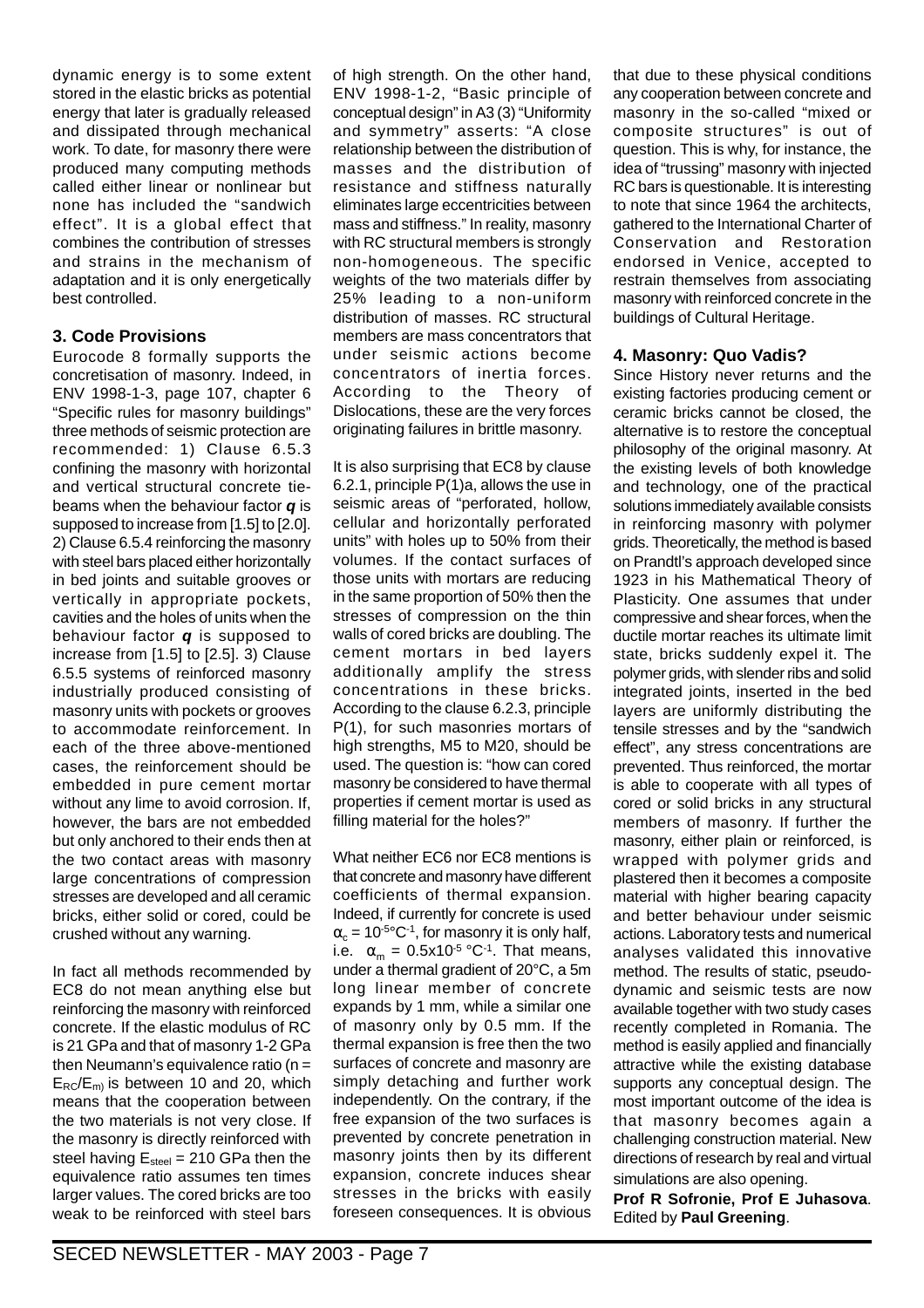dynamic energy is to some extent stored in the elastic bricks as potential energy that later is gradually released and dissipated through mechanical work. To date, for masonry there were produced many computing methods called either linear or nonlinear but none has included the "sandwich effect". It is a global effect that combines the contribution of stresses and strains in the mechanism of adaptation and it is only energetically best controlled.

#### **3. Code Provisions**

Eurocode 8 formally supports the concretisation of masonry. Indeed, in ENV 1998-1-3, page 107, chapter 6 "Specific rules for masonry buildings" three methods of seismic protection are recommended: 1) Clause 6.5.3 confining the masonry with horizontal and vertical structural concrete tiebeams when the behaviour factor **q** is supposed to increase from [1.5] to [2.0]. 2) Clause 6.5.4 reinforcing the masonry with steel bars placed either horizontally in bed joints and suitable grooves or vertically in appropriate pockets, cavities and the holes of units when the behaviour factor **q** is supposed to increase from [1.5] to [2.5]. 3) Clause 6.5.5 systems of reinforced masonry industrially produced consisting of masonry units with pockets or grooves to accommodate reinforcement. In each of the three above-mentioned cases, the reinforcement should be embedded in pure cement mortar without any lime to avoid corrosion. If, however, the bars are not embedded but only anchored to their ends then at the two contact areas with masonry large concentrations of compression stresses are developed and all ceramic bricks, either solid or cored, could be crushed without any warning.

In fact all methods recommended by EC8 do not mean anything else but reinforcing the masonry with reinforced concrete. If the elastic modulus of RC is 21 GPa and that of masonry 1-2 GPa then Neumann's equivalence ratio ( $n =$  $E_{RC}/E_m$  is between 10 and 20, which means that the cooperation between the two materials is not very close. If the masonry is directly reinforced with steel having  $E_{\text{steel}} = 210 \text{ GPa}$  then the equivalence ratio assumes ten times larger values. The cored bricks are too weak to be reinforced with steel bars

of high strength. On the other hand, ENV 1998-1-2, "Basic principle of conceptual design" in A3 (3) "Uniformity and symmetry" asserts: "A close relationship between the distribution of masses and the distribution of resistance and stiffness naturally eliminates large eccentricities between mass and stiffness." In reality, masonry with RC structural members is strongly non-homogeneous. The specific weights of the two materials differ by 25% leading to a non-uniform distribution of masses. RC structural members are mass concentrators that under seismic actions become concentrators of inertia forces. According to the Theory of Dislocations, these are the very forces originating failures in brittle masonry.

It is also surprising that EC8 by clause 6.2.1, principle P(1)a, allows the use in seismic areas of "perforated, hollow, cellular and horizontally perforated units" with holes up to 50% from their volumes. If the contact surfaces of those units with mortars are reducing in the same proportion of 50% then the stresses of compression on the thin walls of cored bricks are doubling. The cement mortars in bed layers additionally amplify the stress concentrations in these bricks. According to the clause 6.2.3, principle P(1), for such masonries mortars of high strengths, M5 to M20, should be used. The question is: "how can cored masonry be considered to have thermal properties if cement mortar is used as filling material for the holes?"

What neither EC6 nor EC8 mentions is that concrete and masonry have different coefficients of thermal expansion. Indeed, if currently for concrete is used  $\alpha_c = 10^{-5}$ °C<sup>-1</sup>, for masonry it is only half, i.e.  $\alpha_m = 0.5 \times 10^{-5} \,^{\circ}\text{C}^{-1}$ . That means, under a thermal gradient of 20°C, a 5m long linear member of concrete expands by 1 mm, while a similar one of masonry only by 0.5 mm. If the thermal expansion is free then the two surfaces of concrete and masonry are simply detaching and further work independently. On the contrary, if the free expansion of the two surfaces is prevented by concrete penetration in masonry joints then by its different expansion, concrete induces shear stresses in the bricks with easily foreseen consequences. It is obvious

that due to these physical conditions any cooperation between concrete and masonry in the so-called "mixed or composite structures" is out of question. This is why, for instance, the idea of "trussing" masonry with injected RC bars is questionable. It is interesting to note that since 1964 the architects, gathered to the International Charter of Conservation and Restoration endorsed in Venice, accepted to restrain themselves from associating masonry with reinforced concrete in the buildings of Cultural Heritage.

#### **4. Masonry: Quo Vadis?**

Since History never returns and the existing factories producing cement or ceramic bricks cannot be closed, the alternative is to restore the conceptual philosophy of the original masonry. At the existing levels of both knowledge and technology, one of the practical solutions immediately available consists in reinforcing masonry with polymer grids. Theoretically, the method is based on Prandtl's approach developed since 1923 in his Mathematical Theory of Plasticity. One assumes that under compressive and shear forces, when the ductile mortar reaches its ultimate limit state, bricks suddenly expel it. The polymer grids, with slender ribs and solid integrated joints, inserted in the bed layers are uniformly distributing the tensile stresses and by the "sandwich effect", any stress concentrations are prevented. Thus reinforced, the mortar is able to cooperate with all types of cored or solid bricks in any structural members of masonry. If further the masonry, either plain or reinforced, is wrapped with polymer grids and plastered then it becomes a composite material with higher bearing capacity and better behaviour under seismic actions. Laboratory tests and numerical analyses validated this innovative method. The results of static, pseudodynamic and seismic tests are now available together with two study cases recently completed in Romania. The method is easily applied and financially attractive while the existing database supports any conceptual design. The most important outcome of the idea is that masonry becomes again a challenging construction material. New directions of research by real and virtual simulations are also opening.

**Prof R Sofronie, Prof E Juhasova**. Edited by **Paul Greening**.